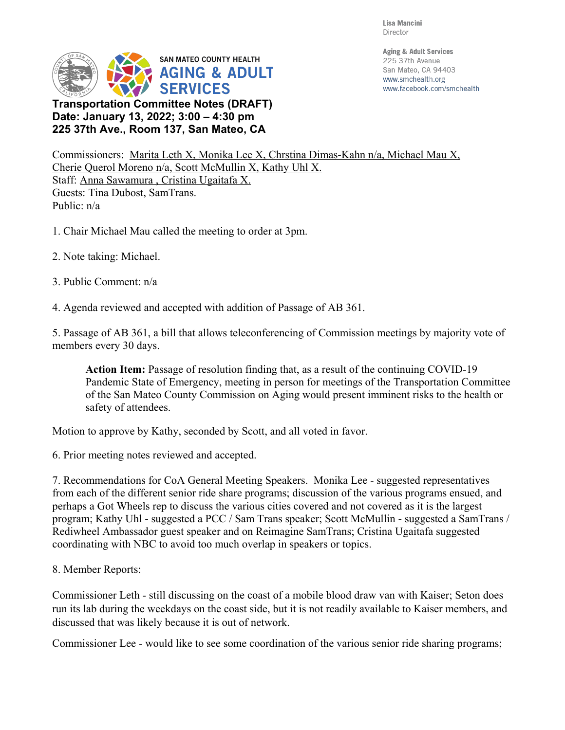Lisa Mancini Director



**Date: January 13, 2022; 3:00 4:30 pm 225 37th Ave., Room 137, San Mateo, CA** **Aging & Adult Services** 225 37th Avenue San Mateo, CA 94403 www.smchealth.org www.facebook.com/smchealth

Commissioners: Marita Leth X, Monika Lee X, Chrstina Dimas-Kahn n/a, Michael Mau X, Cherie Querol Moreno n/a, Scott McMullin X, Kathy Uhl X. Staff: Anna Sawamura , Cristina Ugaitafa X. Guests: Tina Dubost, SamTrans. Public: n/a

- 1. Chair Michael Mau called the meeting to order at 3pm.
- 2. Note taking: Michael.
- 3. Public Comment: n/a
- 4. Agenda reviewed and accepted with addition of Passage of AB 361.

5. Passage of AB 361, a bill that allows teleconferencing of Commission meetings by majority vote of members every 30 days.

**Action Item:** Passage of resolution finding that, as a result of the continuing COVID-19 Pandemic State of Emergency, meeting in person for meetings of the Transportation Committee of the San Mateo County Commission on Aging would present imminent risks to the health or safety of attendees.

Motion to approve by Kathy, seconded by Scott, and all voted in favor.

6. Prior meeting notes reviewed and accepted.

7. Recommendations for CoA General Meeting Speakers. Monika Lee - suggested representatives from each of the different senior ride share programs; discussion of the various programs ensued, and perhaps a Got Wheels rep to discuss the various cities covered and not covered as it is the largest program; Kathy Uhl - suggested a PCC / Sam Trans speaker; Scott McMullin - suggested a SamTrans / Rediwheel Ambassador guest speaker and on Reimagine SamTrans; Cristina Ugaitafa suggested coordinating with NBC to avoid too much overlap in speakers or topics.

8. Member Reports:

Commissioner Leth - still discussing on the coast of a mobile blood draw van with Kaiser; Seton does run its lab during the weekdays on the coast side, but it is not readily available to Kaiser members, and discussed that was likely because it is out of network.

Commissioner Lee - would like to see some coordination of the various senior ride sharing programs;